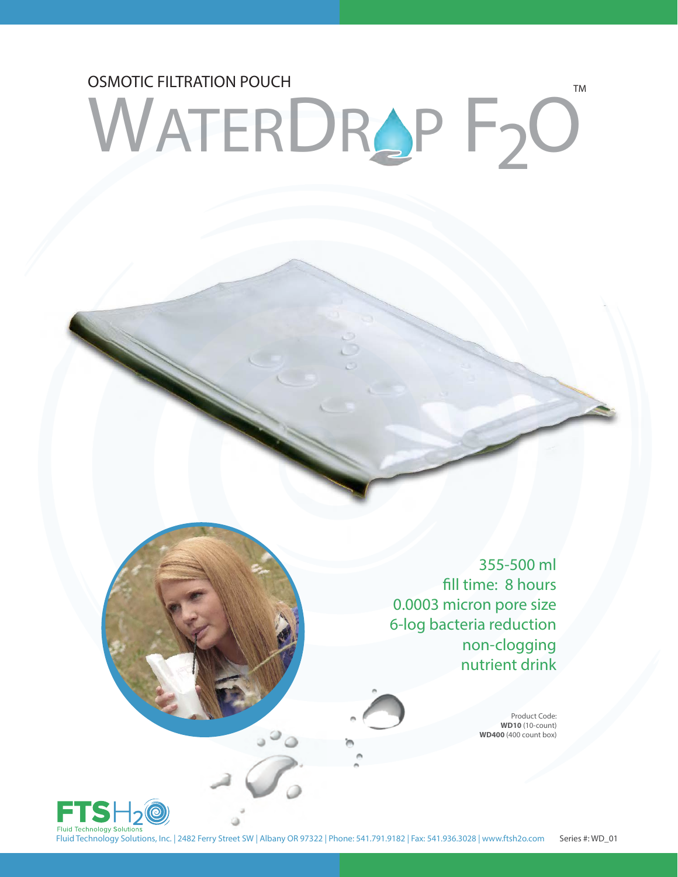## OSMOTIC FILTRATION POUCH TM WATERDRAP F2O

355-500 ml fill time: 8 hours 0.0003 micron pore size 6-log bacteria reduction non-clogging nutrient drink

> Product Code: **WD10** (10-count) **WD400** (400 count box)



Fluid Technology Solutions, Inc. | 2482 Ferry Street SW | Albany OR 97322 | Phone: 541.791.9182 | Fax: 541.936.3028 | www.ftsh2o.com Series #: WD\_01